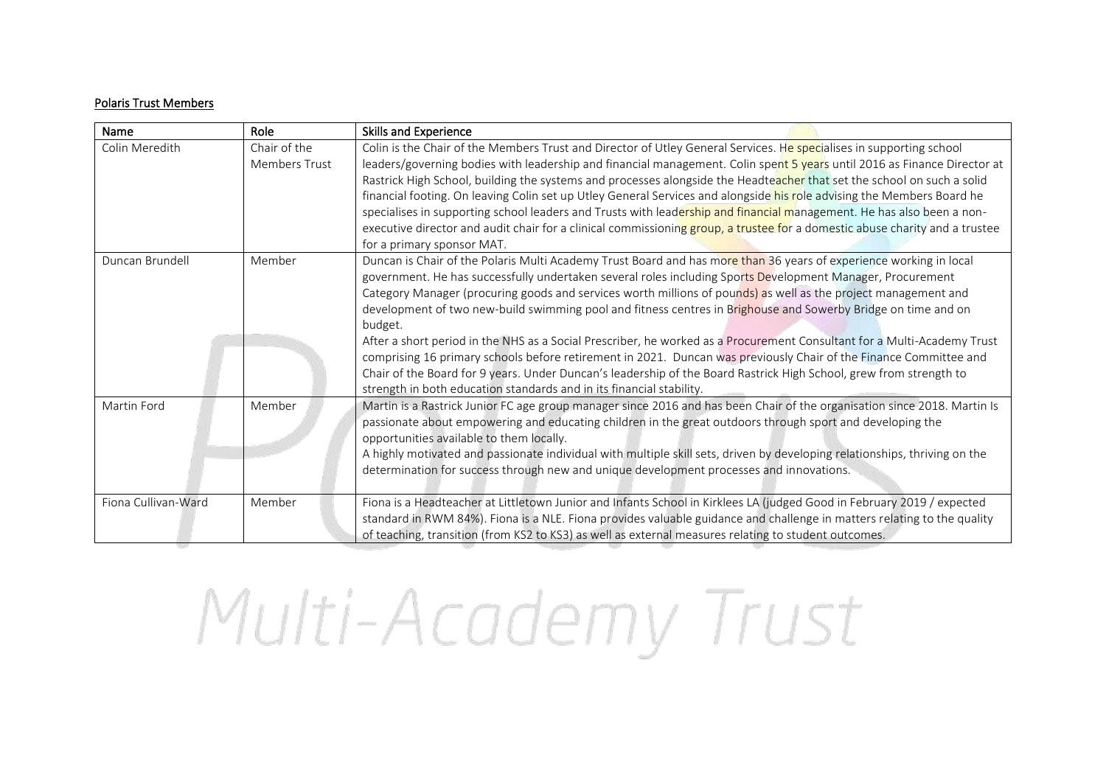## Polaris Trust Members

| Name                | Role                          | <b>Skills and Experience</b>                                                                                                                                                                                                                                                                                                                                                                                                                                                                                                                                                                                                                                                                                                                                                                                                                                                                                                 |
|---------------------|-------------------------------|------------------------------------------------------------------------------------------------------------------------------------------------------------------------------------------------------------------------------------------------------------------------------------------------------------------------------------------------------------------------------------------------------------------------------------------------------------------------------------------------------------------------------------------------------------------------------------------------------------------------------------------------------------------------------------------------------------------------------------------------------------------------------------------------------------------------------------------------------------------------------------------------------------------------------|
| Colin Meredith      | Chair of the<br>Members Trust | Colin is the Chair of the Members Trust and Director of Utley General Services. He specialises in supporting school<br>leaders/governing bodies with leadership and financial management. Colin spent 5 years until 2016 as Finance Director at<br>Rastrick High School, building the systems and processes alongside the Headteacher that set the school on such a solid<br>financial footing. On leaving Colin set up Utley General Services and alongside his role advising the Members Board he<br>specialises in supporting school leaders and Trusts with leadership and financial management. He has also been a non-<br>executive director and audit chair for a clinical commissioning group, a trustee for a domestic abuse charity and a trustee<br>for a primary sponsor MAT.                                                                                                                                    |
| Duncan Brundell     | Member                        | Duncan is Chair of the Polaris Multi Academy Trust Board and has more than 36 years of experience working in local<br>government. He has successfully undertaken several roles including Sports Development Manager, Procurement<br>Category Manager (procuring goods and services worth millions of pounds) as well as the project management and<br>development of two new-build swimming pool and fitness centres in Brighouse and Sowerby Bridge on time and on<br>budget.<br>After a short period in the NHS as a Social Prescriber, he worked as a Procurement Consultant for a Multi-Academy Trust<br>comprising 16 primary schools before retirement in 2021. Duncan was previously Chair of the Finance Committee and<br>Chair of the Board for 9 years. Under Duncan's leadership of the Board Rastrick High School, grew from strength to<br>strength in both education standards and in its financial stability. |
| Martin Ford         | Member                        | Martin is a Rastrick Junior FC age group manager since 2016 and has been Chair of the organisation since 2018. Martin Is<br>passionate about empowering and educating children in the great outdoors through sport and developing the<br>opportunities available to them locally.<br>A highly motivated and passionate individual with multiple skill sets, driven by developing relationships, thriving on the<br>determination for success through new and unique development processes and innovations.                                                                                                                                                                                                                                                                                                                                                                                                                   |
| Fiona Cullivan-Ward | Member                        | Fiona is a Headteacher at Littletown Junior and Infants School in Kirklees LA (judged Good in February 2019 / expected<br>standard in RWM 84%). Fiona is a NLE. Fiona provides valuable guidance and challenge in matters relating to the quality<br>of teaching, transition (from KS2 to KS3) as well as external measures relating to student outcomes.                                                                                                                                                                                                                                                                                                                                                                                                                                                                                                                                                                    |

## Multi-Academy Trust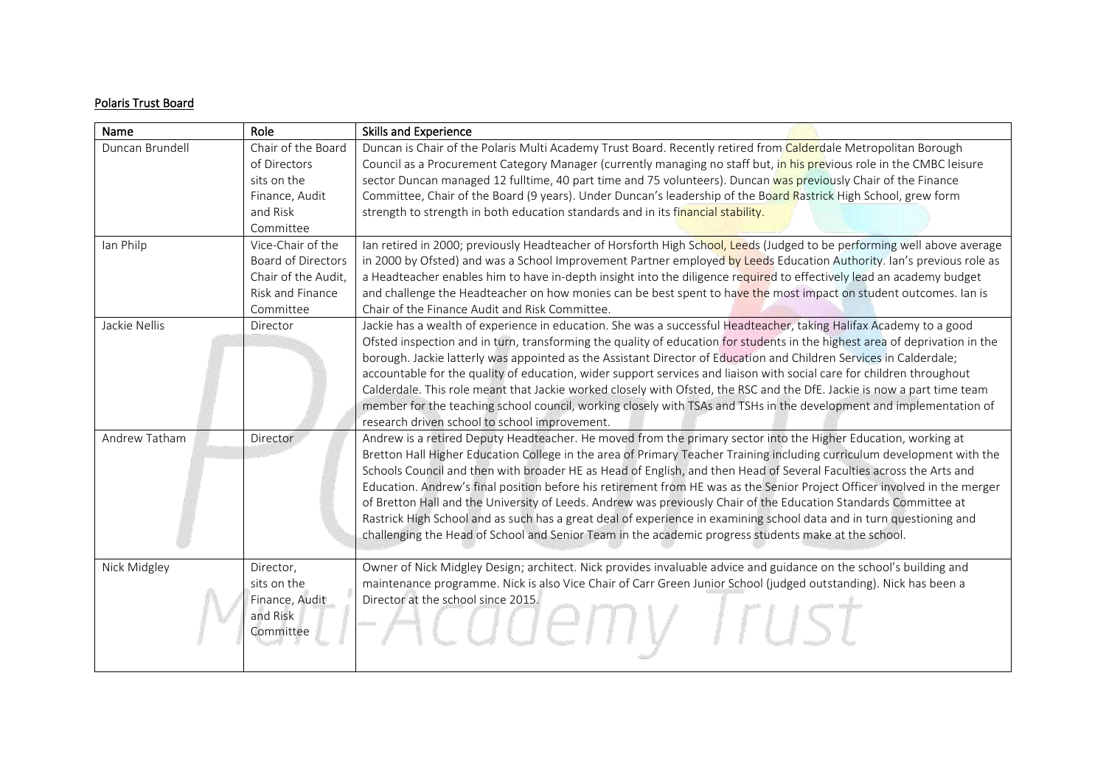## Polaris Trust Board

| Name            | Role                      | <b>Skills and Experience</b>                                                                                                |
|-----------------|---------------------------|-----------------------------------------------------------------------------------------------------------------------------|
| Duncan Brundell | Chair of the Board        | Duncan is Chair of the Polaris Multi Academy Trust Board. Recently retired from Calderdale Metropolitan Borough             |
|                 | of Directors              | Council as a Procurement Category Manager (currently managing no staff but, in his previous role in the CMBC leisure        |
|                 | sits on the               | sector Duncan managed 12 fulltime, 40 part time and 75 volunteers). Duncan was previously Chair of the Finance              |
|                 | Finance, Audit            | Committee, Chair of the Board (9 years). Under Duncan's leadership of the Board Rastrick High School, grew form             |
|                 | and Risk                  | strength to strength in both education standards and in its financial stability.                                            |
|                 | Committee                 |                                                                                                                             |
| Ian Philp       | Vice-Chair of the         | Ian retired in 2000; previously Headteacher of Horsforth High School, Leeds (Judged to be performing well above average     |
|                 | <b>Board of Directors</b> | in 2000 by Ofsted) and was a School Improvement Partner employed by Leeds Education Authority. Ian's previous role as       |
|                 | Chair of the Audit,       | a Headteacher enables him to have in-depth insight into the diligence required to effectively lead an academy budget        |
|                 | Risk and Finance          | and challenge the Headteacher on how monies can be best spent to have the most impact on student outcomes. Ian is           |
|                 | Committee                 | Chair of the Finance Audit and Risk Committee.                                                                              |
| Jackie Nellis   | Director                  | Jackie has a wealth of experience in education. She was a successful Headteacher, taking Halifax Academy to a good          |
|                 |                           | Ofsted inspection and in turn, transforming the quality of education for students in the highest area of deprivation in the |
|                 |                           | borough. Jackie latterly was appointed as the Assistant Director of Education and Children Services in Calderdale;          |
|                 |                           | accountable for the quality of education, wider support services and liaison with social care for children throughout       |
|                 |                           | Calderdale. This role meant that Jackie worked closely with Ofsted, the RSC and the DfE. Jackie is now a part time team     |
|                 |                           | member for the teaching school council, working closely with TSAs and TSHs in the development and implementation of         |
|                 |                           | research driven school to school improvement.                                                                               |
| Andrew Tatham   | <b>Director</b>           | Andrew is a retired Deputy Headteacher. He moved from the primary sector into the Higher Education, working at              |
|                 |                           | Bretton Hall Higher Education College in the area of Primary Teacher Training including curriculum development with the     |
|                 |                           | Schools Council and then with broader HE as Head of English, and then Head of Several Faculties across the Arts and         |
|                 |                           | Education. Andrew's final position before his retirement from HE was as the Senior Project Officer involved in the merger   |
|                 |                           | of Bretton Hall and the University of Leeds. Andrew was previously Chair of the Education Standards Committee at            |
|                 |                           | Rastrick High School and as such has a great deal of experience in examining school data and in turn questioning and        |
|                 |                           | challenging the Head of School and Senior Team in the academic progress students make at the school.                        |
|                 |                           |                                                                                                                             |
| Nick Midgley    | Director,                 | Owner of Nick Midgley Design; architect. Nick provides invaluable advice and guidance on the school's building and          |
|                 | sits on the               | maintenance programme. Nick is also Vice Chair of Carr Green Junior School (judged outstanding). Nick has been a            |
|                 | Finance, Audit            | Director at the school since 2015.                                                                                          |
|                 | and Risk                  |                                                                                                                             |
|                 | Committee                 |                                                                                                                             |
|                 |                           |                                                                                                                             |
|                 |                           |                                                                                                                             |